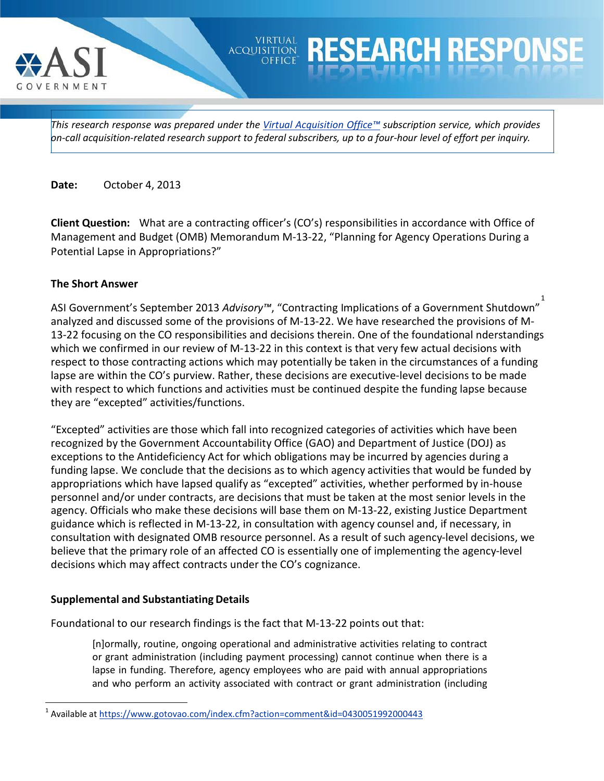

## *This research response was prepared under the Virtual [Acquisition](https://www.gotovao.com/index.cfm) Office™ subscription service, which provides on-call acquisition-related research support to federal subscribers, up to a four-hour level of effort per inquiry.*

**VIRTUAL ACQUISITION**  Response

**Date:** October 4, 2013

**Client Question:** What are a contracting officer's (CO's) responsibilities in accordance with Office of Management and Budget (OMB) Memorandum M-13-22, "Planning for Agency Operations During a Potential Lapse in Appropriations?"

## **The Short Answer**

ASI Government's September 2013 *Advisory™*, "Contracting Implications of a Government Shutdown" [1](#page-0-0) analyzed and discussed some of the provisions of M-13-22. We have researched the provisions of M-13-22 focusing on the CO responsibilities and decisions therein. One of the foundational nderstandings which we confirmed in our review of M-13-22 in this context is that very few actual decisions with respect to those contracting actions which may potentially be taken in the circumstances of a funding lapse are within the CO's purview. Rather, these decisions are executive-level decisions to be made with respect to which functions and activities must be continued despite the funding lapse because they are "excepted" activities/functions.

"Excepted" activities are those which fall into recognized categories of activities which have been recognized by the Government Accountability Office (GAO) and Department of Justice (DOJ) as exceptions to the Antideficiency Act for which obligations may be incurred by agencies during a funding lapse. We conclude that the decisions as to which agency activities that would be funded by appropriations which have lapsed qualify as "excepted" activities, whether performed by in-house personnel and/or under contracts, are decisions that must be taken at the most senior levels in the agency. Officials who make these decisions will base them on M-13-22, existing Justice Department guidance which is reflected in M-13-22, in consultation with agency counsel and, if necessary, in consultation with designated OMB resource personnel. As a result of such agency-level decisions, we believe that the primary role of an affected CO is essentially one of implementing the agency-level decisions which may affect contracts under the CO's cognizance.

## **Supplemental and Substantiating Details**

Foundational to our research findings is the fact that M-13-22 points out that:

[n]ormally, routine, ongoing operational and administrative activities relating to contract or grant administration (including payment processing) cannot continue when there is a lapse in funding. Therefore, agency employees who are paid with annual appropriations and who perform an activity associated with contract or grant administration (including

<span id="page-0-0"></span> <sup>1</sup> Available at <https://www.gotovao.com/index.cfm?action=comment&id=0430051992000443>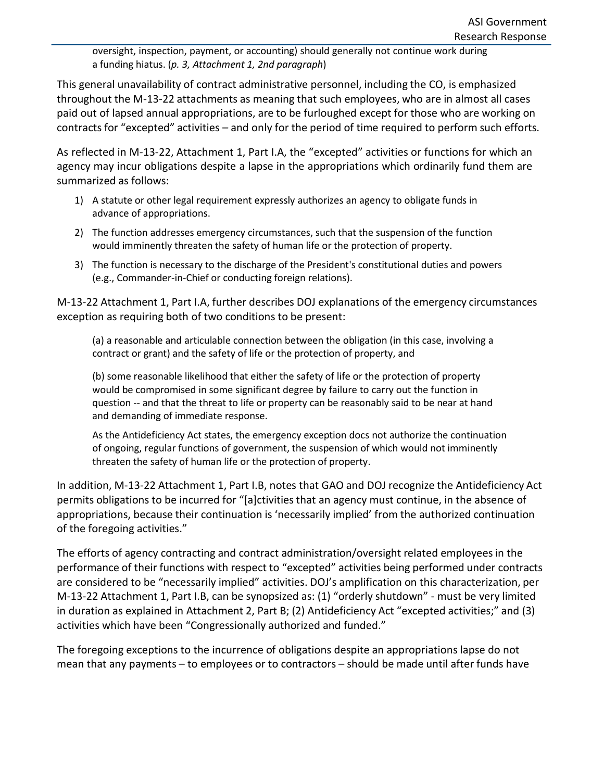oversight, inspection, payment, or accounting) should generally not continue work during a funding hiatus. (*p. 3, Attachment 1, 2nd paragraph*)

This general unavailability of contract administrative personnel, including the CO, is emphasized throughout the M-13-22 attachments as meaning that such employees, who are in almost all cases paid out of lapsed annual appropriations, are to be furloughed except for those who are working on contracts for "excepted" activities – and only for the period of time required to perform such efforts.

As reflected in M-13-22, Attachment 1, Part I.A, the "excepted" activities or functions for which an agency may incur obligations despite a lapse in the appropriations which ordinarily fund them are summarized as follows:

- 1) A statute or other legal requirement expressly authorizes an agency to obligate funds in advance of appropriations.
- 2) The function addresses emergency circumstances, such that the suspension of the function would imminently threaten the safety of human life or the protection of property.
- 3) The function is necessary to the discharge of the President's constitutional duties and powers (e.g., Commander-in-Chief or conducting foreign relations).

M-13-22 Attachment 1, Part I.A, further describes DOJ explanations of the emergency circumstances exception as requiring both of two conditions to be present:

(a) a reasonable and articulable connection between the obligation (in this case, involving a contract or grant) and the safety of life or the protection of property, and

(b) some reasonable likelihood that either the safety of life or the protection of property would be compromised in some significant degree by failure to carry out the function in question -- and that the threat to life or property can be reasonably said to be near at hand and demanding of immediate response.

As the Antideficiency Act states, the emergency exception docs not authorize the continuation of ongoing, regular functions of government, the suspension of which would not imminently threaten the safety of human life or the protection of property.

In addition, M-13-22 Attachment 1, Part I.B, notes that GAO and DOJ recognize the Antideficiency Act permits obligations to be incurred for "[a]ctivitiesthat an agency must continue, in the absence of appropriations, because their continuation is 'necessarily implied' from the authorized continuation of the foregoing activities."

The efforts of agency contracting and contract administration/oversight related employeesin the performance of their functions with respect to "excepted" activities being performed under contracts are considered to be "necessarily implied" activities. DOJ's amplification on this characterization, per M-13-22 Attachment 1, Part I.B, can be synopsized as: (1) "orderly shutdown" - must be very limited in duration as explained in Attachment 2, Part B; (2) Antideficiency Act "excepted activities;" and (3) activities which have been "Congressionally authorized and funded."

The foregoing exceptions to the incurrence of obligations despite an appropriations lapse do not mean that any payments – to employees or to contractors – should be made until after funds have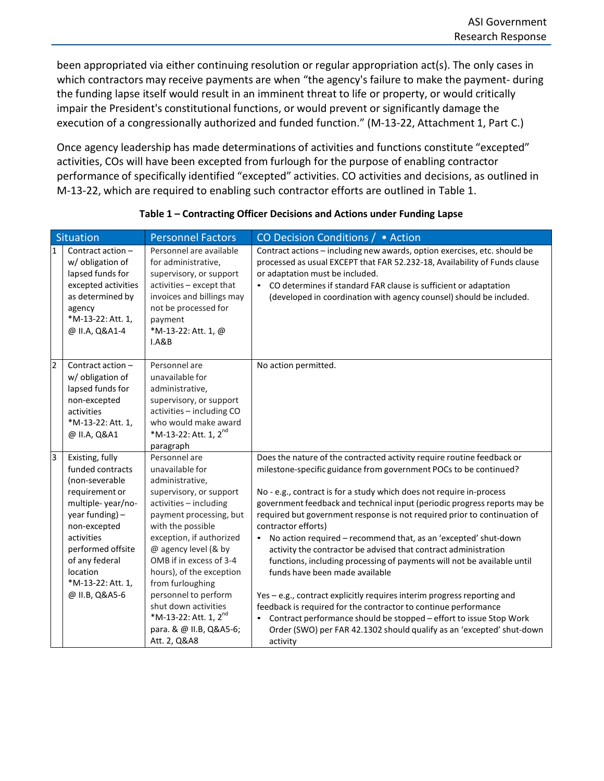been appropriated via either continuing resolution or regular appropriation act(s). The only cases in which contractors may receive payments are when "the agency's failure to make the payment- during the funding lapse itself would result in an imminent threat to life or property, or would critically impair the President's constitutional functions, or would prevent or significantly damage the execution of a congressionally authorized and funded function." (M-13-22, Attachment 1, Part C.)

Once agency leadership has made determinations of activities and functions constitute "excepted" activities, COs will have been excepted from furlough for the purpose of enabling contractor performance of specifically identified "excepted" activities. CO activities and decisions, as outlined in M-13-22, which are required to enabling such contractor efforts are outlined in Table 1.

|              | <b>Situation</b>                                                                                                                                     | <b>Personnel Factors</b>                                                                                                                                                                              | CO Decision Conditions / • Action                                                                                                                                                                                                                                                                                                     |
|--------------|------------------------------------------------------------------------------------------------------------------------------------------------------|-------------------------------------------------------------------------------------------------------------------------------------------------------------------------------------------------------|---------------------------------------------------------------------------------------------------------------------------------------------------------------------------------------------------------------------------------------------------------------------------------------------------------------------------------------|
| $\mathbf{1}$ | Contract action-<br>w/ obligation of<br>lapsed funds for<br>excepted activities<br>as determined by<br>agency<br>*M-13-22: Att. 1,<br>@ II.A, Q&A1-4 | Personnel are available<br>for administrative,<br>supervisory, or support<br>activities - except that<br>invoices and billings may<br>not be processed for<br>payment<br>*M-13-22: Att. 1, @<br>I.A&B | Contract actions - including new awards, option exercises, etc. should be<br>processed as usual EXCEPT that FAR 52.232-18, Availability of Funds clause<br>or adaptation must be included.<br>CO determines if standard FAR clause is sufficient or adaptation<br>(developed in coordination with agency counsel) should be included. |
| 2            | Contract action -<br>w/ obligation of<br>lapsed funds for<br>non-excepted<br>activities<br>*M-13-22: Att. 1,<br>@ II.A, Q&A1                         | Personnel are<br>unavailable for<br>administrative,<br>supervisory, or support<br>activities - including CO<br>who would make award<br>*M-13-22: Att. 1, 2 <sup>nd</sup><br>paragraph                 | No action permitted.                                                                                                                                                                                                                                                                                                                  |
| 3            | Existing, fully                                                                                                                                      | Personnel are                                                                                                                                                                                         | Does the nature of the contracted activity require routine feedback or                                                                                                                                                                                                                                                                |
|              | funded contracts<br>(non-severable                                                                                                                   | unavailable for<br>administrative,                                                                                                                                                                    | milestone-specific guidance from government POCs to be continued?                                                                                                                                                                                                                                                                     |
|              | requirement or                                                                                                                                       | supervisory, or support                                                                                                                                                                               | No - e.g., contract is for a study which does not require in-process                                                                                                                                                                                                                                                                  |
|              | multiple-year/no-<br>year funding) -<br>non-excepted                                                                                                 | activities - including<br>payment processing, but<br>with the possible                                                                                                                                | government feedback and technical input (periodic progress reports may be<br>required but government response is not required prior to continuation of<br>contractor efforts)                                                                                                                                                         |
|              | activities<br>performed offsite<br>of any federal<br>location<br>*M-13-22: Att. 1,                                                                   | exception, if authorized<br>@ agency level (& by<br>OMB if in excess of 3-4<br>hours), of the exception<br>from furloughing                                                                           | No action required - recommend that, as an 'excepted' shut-down<br>activity the contractor be advised that contract administration<br>functions, including processing of payments will not be available until<br>funds have been made available                                                                                       |
|              | @ II.B, Q&A5-6                                                                                                                                       | personnel to perform<br>shut down activities<br>*M-13-22: Att. 1, $2^{nd}$<br>para. & @ II.B, Q&A5-6<br>Att. 2, Q&A8                                                                                  | Yes - e.g., contract explicitly requires interim progress reporting and<br>feedback is required for the contractor to continue performance<br>Contract performance should be stopped - effort to issue Stop Work<br>Order (SWO) per FAR 42.1302 should qualify as an 'excepted' shut-down<br>activity                                 |

## **Table 1 – Contracting Officer Decisions and Actions under Funding Lapse**